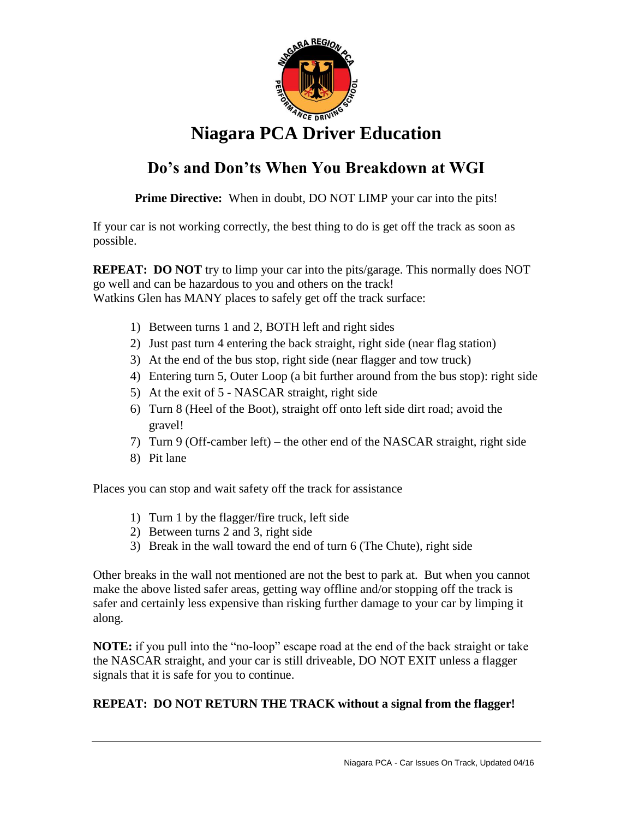

## **Niagara PCA Driver Education**

## **Do's and Don'ts When You Breakdown at WGI**

**Prime Directive:** When in doubt, DO NOT LIMP your car into the pits!

If your car is not working correctly, the best thing to do is get off the track as soon as possible.

**REPEAT: DO NOT** try to limp your car into the pits/garage. This normally does NOT go well and can be hazardous to you and others on the track! Watkins Glen has MANY places to safely get off the track surface:

- 1) Between turns 1 and 2, BOTH left and right sides
- 2) Just past turn 4 entering the back straight, right side (near flag station)
- 3) At the end of the bus stop, right side (near flagger and tow truck)
- 4) Entering turn 5, Outer Loop (a bit further around from the bus stop): right side
- 5) At the exit of 5 NASCAR straight, right side
- 6) Turn 8 (Heel of the Boot), straight off onto left side dirt road; avoid the gravel!
- 7) Turn 9 (Off-camber left) the other end of the NASCAR straight, right side
- 8) Pit lane

Places you can stop and wait safety off the track for assistance

- 1) Turn 1 by the flagger/fire truck, left side
- 2) Between turns 2 and 3, right side
- 3) Break in the wall toward the end of turn 6 (The Chute), right side

Other breaks in the wall not mentioned are not the best to park at. But when you cannot make the above listed safer areas, getting way offline and/or stopping off the track is safer and certainly less expensive than risking further damage to your car by limping it along.

**NOTE:** if you pull into the "no-loop" escape road at the end of the back straight or take the NASCAR straight, and your car is still driveable, DO NOT EXIT unless a flagger signals that it is safe for you to continue.

## **REPEAT: DO NOT RETURN THE TRACK without a signal from the flagger!**